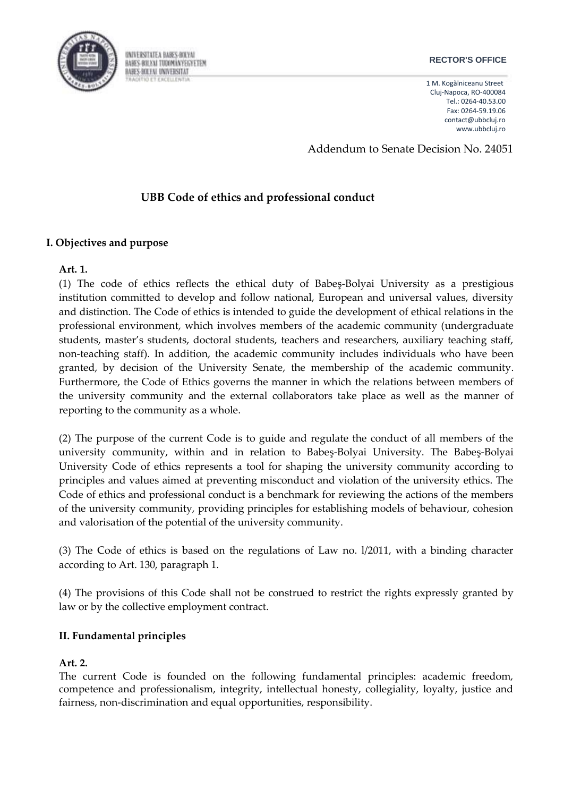

#### **RECTOR'S OFFICE**

1 M. Kogălniceanu Street Cluj-Napoca, RO-400084 Tel.: 0264-40.53.00 Fax: 0264-59.19.06 [contact@ubbcluj.ro](mailto:contact@ubbcluj.ro) [www.ubbcluj.ro](http://www.ubbcluj.ro/)

Addendum to Senate Decision No. 24051

# **UBB Code of ethics and professional conduct**

## **I. Objectives and purpose**

#### **Art. 1.**

(1) The code of ethics reflects the ethical duty of Babeş-Bolyai University as a prestigious institution committed to develop and follow national, European and universal values, diversity and distinction. The Code of ethics is intended to guide the development of ethical relations in the professional environment, which involves members of the academic community (undergraduate students, master's students, doctoral students, teachers and researchers, auxiliary teaching staff, non-teaching staff). In addition, the academic community includes individuals who have been granted, by decision of the University Senate, the membership of the academic community. Furthermore, the Code of Ethics governs the manner in which the relations between members of the university community and the external collaborators take place as well as the manner of reporting to the community as a whole.

(2) The purpose of the current Code is to guide and regulate the conduct of all members of the university community, within and in relation to Babeş-Bolyai University. The Babeş-Bolyai University Code of ethics represents a tool for shaping the university community according to principles and values aimed at preventing misconduct and violation of the university ethics. The Code of ethics and professional conduct is a benchmark for reviewing the actions of the members of the university community, providing principles for establishing models of behaviour, cohesion and valorisation of the potential of the university community.

(3) The Code of ethics is based on the regulations of Law no. l/2011, with a binding character according to Art. 130, paragraph 1.

(4) The provisions of this Code shall not be construed to restrict the rights expressly granted by law or by the collective employment contract.

## **II. Fundamental principles**

## **Art. 2.**

The current Code is founded on the following fundamental principles: academic freedom, competence and professionalism, integrity, intellectual honesty, collegiality, loyalty, justice and fairness, non-discrimination and equal opportunities, responsibility.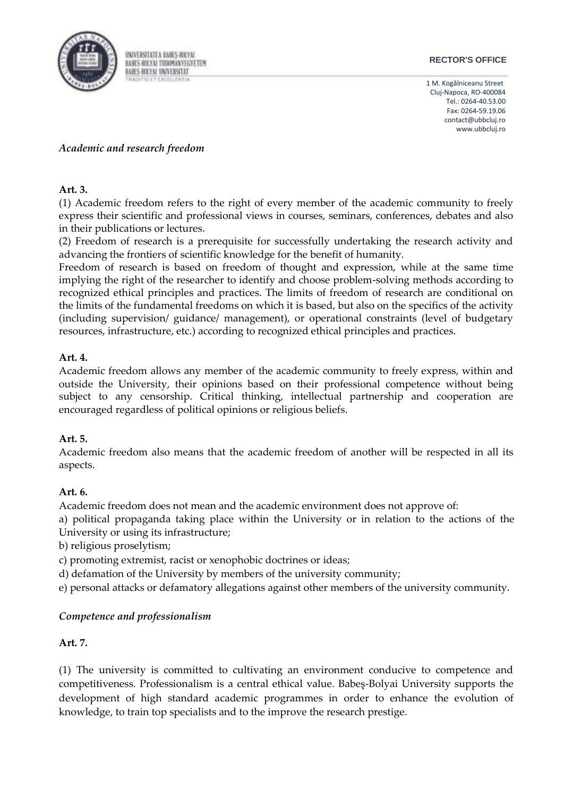

#### **RECTOR'S OFFICE**

1 M. Kogălniceanu Street Cluj-Napoca, RO-400084 Tel.: 0264-40.53.00 Fax: 0264-59.19.06 [contact@ubbcluj.ro](mailto:contact@ubbcluj.ro) [www.ubbcluj.ro](http://www.ubbcluj.ro/)

## *Academic and research freedom*

#### **Art. 3.**

(1) Academic freedom refers to the right of every member of the academic community to freely express their scientific and professional views in courses, seminars, conferences, debates and also in their publications or lectures.

(2) Freedom of research is a prerequisite for successfully undertaking the research activity and advancing the frontiers of scientific knowledge for the benefit of humanity.

Freedom of research is based on freedom of thought and expression, while at the same time implying the right of the researcher to identify and choose problem-solving methods according to recognized ethical principles and practices. The limits of freedom of research are conditional on the limits of the fundamental freedoms on which it is based, but also on the specifics of the activity (including supervision/ guidance/ management), or operational constraints (level of budgetary resources, infrastructure, etc.) according to recognized ethical principles and practices.

#### **Art. 4.**

Academic freedom allows any member of the academic community to freely express, within and outside the University, their opinions based on their professional competence without being subject to any censorship. Critical thinking, intellectual partnership and cooperation are encouraged regardless of political opinions or religious beliefs.

## **Art. 5.**

Academic freedom also means that the academic freedom of another will be respected in all its aspects.

## **Art. 6.**

Academic freedom does not mean and the academic environment does not approve of:

a) political propaganda taking place within the University or in relation to the actions of the University or using its infrastructure;

b) religious proselytism;

c) promoting extremist, racist or xenophobic doctrines or ideas;

d) defamation of the University by members of the university community;

e) personal attacks or defamatory allegations against other members of the university community.

## *Competence and professionalism*

#### **Art. 7.**

(1) The university is committed to cultivating an environment conducive to competence and competitiveness. Professionalism is a central ethical value. Babeş-Bolyai University supports the development of high standard academic programmes in order to enhance the evolution of knowledge, to train top specialists and to the improve the research prestige.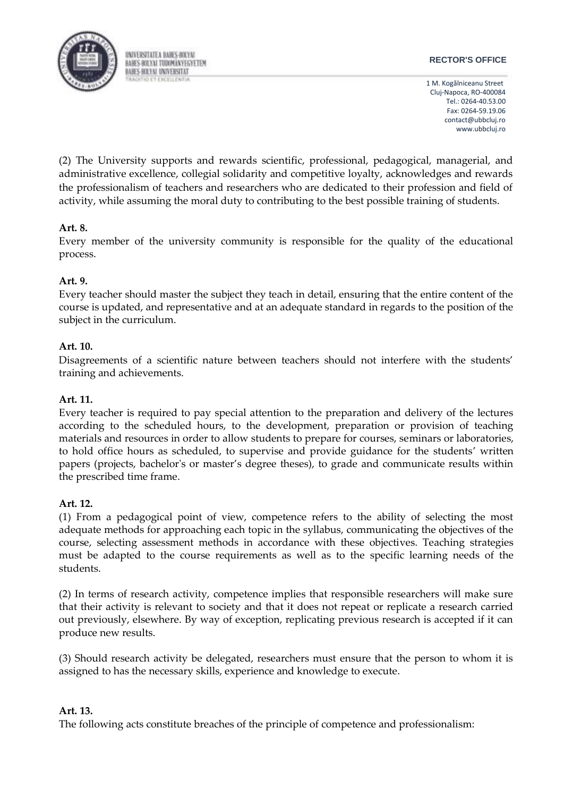

#### **RECTOR'S OFFICE**

1 M. Kogălniceanu Street Cluj-Napoca, RO-400084 Tel.: 0264-40.53.00 Fax: 0264-59.19.06 [contact@ubbcluj.ro](mailto:contact@ubbcluj.ro) [www.ubbcluj.ro](http://www.ubbcluj.ro/)

(2) The University supports and rewards scientific, professional, pedagogical, managerial, and administrative excellence, collegial solidarity and competitive loyalty, acknowledges and rewards the professionalism of teachers and researchers who are dedicated to their profession and field of activity, while assuming the moral duty to contributing to the best possible training of students.

# **Art. 8.**

Every member of the university community is responsible for the quality of the educational process.

# **Art. 9.**

Every teacher should master the subject they teach in detail, ensuring that the entire content of the course is updated, and representative and at an adequate standard in regards to the position of the subject in the curriculum.

# **Art. 10.**

Disagreements of a scientific nature between teachers should not interfere with the students' training and achievements.

## **Art. 11.**

Every teacher is required to pay special attention to the preparation and delivery of the lectures according to the scheduled hours, to the development, preparation or provision of teaching materials and resources in order to allow students to prepare for courses, seminars or laboratories, to hold office hours as scheduled, to supervise and provide guidance for the students' written papers (projects, bachelor's or master's degree theses), to grade and communicate results within the prescribed time frame.

## **Art. 12.**

(1) From a pedagogical point of view, competence refers to the ability of selecting the most adequate methods for approaching each topic in the syllabus, communicating the objectives of the course, selecting assessment methods in accordance with these objectives. Teaching strategies must be adapted to the course requirements as well as to the specific learning needs of the students.

(2) In terms of research activity, competence implies that responsible researchers will make sure that their activity is relevant to society and that it does not repeat or replicate a research carried out previously, elsewhere. By way of exception, replicating previous research is accepted if it can produce new results.

(3) Should research activity be delegated, researchers must ensure that the person to whom it is assigned to has the necessary skills, experience and knowledge to execute.

## **Art. 13.**

The following acts constitute breaches of the principle of competence and professionalism: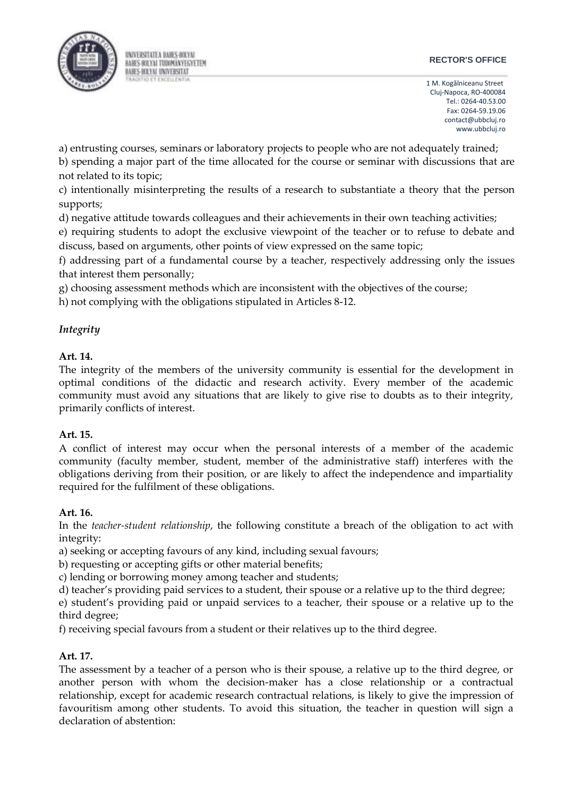

#### **RECTOR'S OFFICE**

1 M. Kogălniceanu Street Cluj-Napoca, RO-400084 Tel.: 0264-40.53.00 Fax: 0264-59.19.06 [contact@ubbcluj.ro](mailto:contact@ubbcluj.ro) [www.ubbcluj.ro](http://www.ubbcluj.ro/)

a) entrusting courses, seminars or laboratory projects to people who are not adequately trained;

b) spending a major part of the time allocated for the course or seminar with discussions that are not related to its topic;

c) intentionally misinterpreting the results of a research to substantiate a theory that the person supports;

d) negative attitude towards colleagues and their achievements in their own teaching activities;

e) requiring students to adopt the exclusive viewpoint of the teacher or to refuse to debate and discuss, based on arguments, other points of view expressed on the same topic;

f) addressing part of a fundamental course by a teacher, respectively addressing only the issues that interest them personally;

g) choosing assessment methods which are inconsistent with the objectives of the course;

h) not complying with the obligations stipulated in Articles 8-12.

# *Integrity*

# **Art. 14.**

The integrity of the members of the university community is essential for the development in optimal conditions of the didactic and research activity. Every member of the academic community must avoid any situations that are likely to give rise to doubts as to their integrity, primarily conflicts of interest.

## **Art. 15.**

A conflict of interest may occur when the personal interests of a member of the academic community (faculty member, student, member of the administrative staff) interferes with the obligations deriving from their position, or are likely to affect the independence and impartiality required for the fulfilment of these obligations.

## **Art. 16.**

In the *teacher-student relationship*, the following constitute a breach of the obligation to act with integrity:

a) seeking or accepting favours of any kind, including sexual favours;

b) requesting or accepting gifts or other material benefits;

c) lending or borrowing money among teacher and students;

d) teacher's providing paid services to a student, their spouse or a relative up to the third degree;

e) student's providing paid or unpaid services to a teacher, their spouse or a relative up to the third degree;

f) receiving special favours from a student or their relatives up to the third degree.

# **Art. 17.**

The assessment by a teacher of a person who is their spouse, a relative up to the third degree, or another person with whom the decision-maker has a close relationship or a contractual relationship, except for academic research contractual relations, is likely to give the impression of favouritism among other students. To avoid this situation, the teacher in question will sign a declaration of abstention: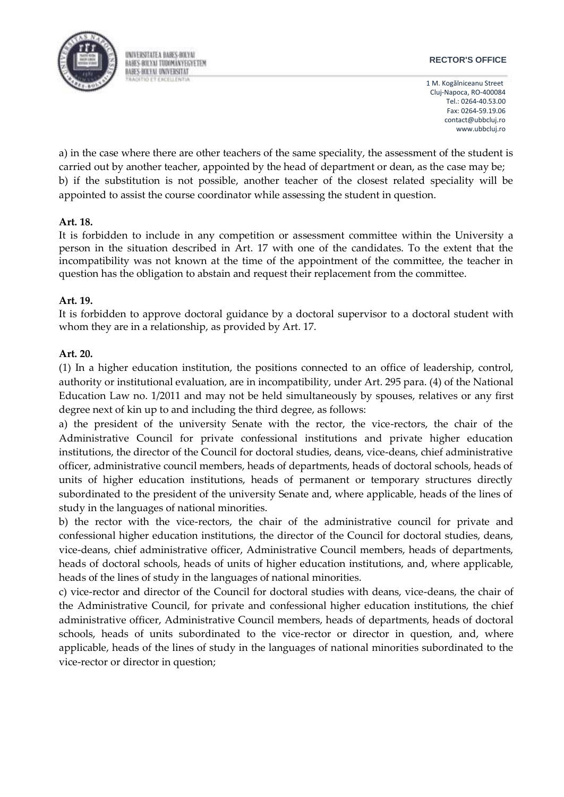

#### **RECTOR'S OFFICE**

1 M. Kogălniceanu Street Cluj-Napoca, RO-400084 Tel.: 0264-40.53.00 Fax: 0264-59.19.06 [contact@ubbcluj.ro](mailto:contact@ubbcluj.ro) [www.ubbcluj.ro](http://www.ubbcluj.ro/)

a) in the case where there are other teachers of the same speciality, the assessment of the student is carried out by another teacher, appointed by the head of department or dean, as the case may be; b) if the substitution is not possible, another teacher of the closest related speciality will be appointed to assist the course coordinator while assessing the student in question.

## **Art. 18.**

It is forbidden to include in any competition or assessment committee within the University a person in the situation described in Art. 17 with one of the candidates. To the extent that the incompatibility was not known at the time of the appointment of the committee, the teacher in question has the obligation to abstain and request their replacement from the committee.

# **Art. 19.**

It is forbidden to approve doctoral guidance by a doctoral supervisor to a doctoral student with whom they are in a relationship, as provided by Art. 17.

# **Art. 20.**

(1) In a higher education institution, the positions connected to an office of leadership, control, authority or institutional evaluation, are in incompatibility, under Art. 295 para. (4) of the National Education Law no. 1/2011 and may not be held simultaneously by spouses, relatives or any first degree next of kin up to and including the third degree, as follows:

a) the president of the university Senate with the rector, the vice-rectors, the chair of the Administrative Council for private confessional institutions and private higher education institutions, the director of the Council for doctoral studies, deans, vice-deans, chief administrative officer, administrative council members, heads of departments, heads of doctoral schools, heads of units of higher education institutions, heads of permanent or temporary structures directly subordinated to the president of the university Senate and, where applicable, heads of the lines of study in the languages of national minorities.

b) the rector with the vice-rectors, the chair of the administrative council for private and confessional higher education institutions, the director of the Council for doctoral studies, deans, vice-deans, chief administrative officer, Administrative Council members, heads of departments, heads of doctoral schools, heads of units of higher education institutions, and, where applicable, heads of the lines of study in the languages of national minorities.

c) vice-rector and director of the Council for doctoral studies with deans, vice-deans, the chair of the Administrative Council, for private and confessional higher education institutions, the chief administrative officer, Administrative Council members, heads of departments, heads of doctoral schools, heads of units subordinated to the vice-rector or director in question, and, where applicable, heads of the lines of study in the languages of national minorities subordinated to the vice-rector or director in question;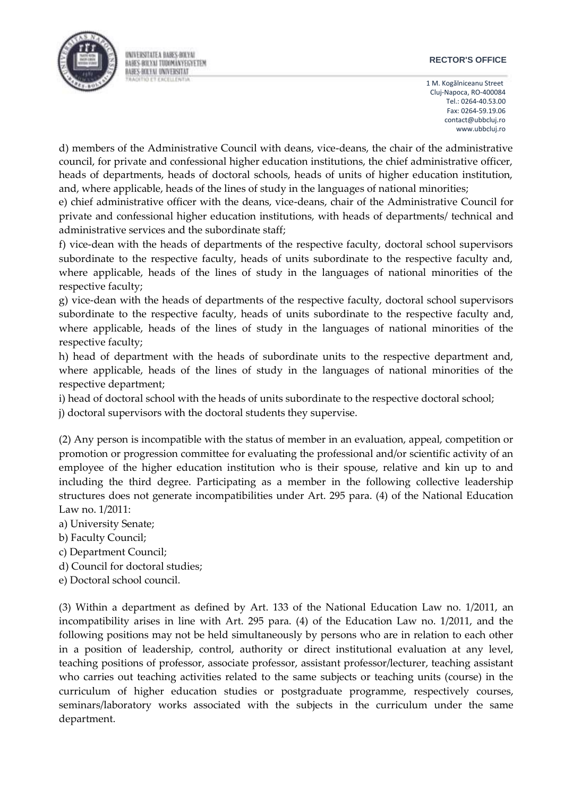#### **RECTOR'S OFFICE**

1 M. Kogălniceanu Street Cluj-Napoca, RO-400084 Tel.: 0264-40.53.00 Fax: 0264-59.19.06 [contact@ubbcluj.ro](mailto:contact@ubbcluj.ro) [www.ubbcluj.ro](http://www.ubbcluj.ro/)

d) members of the Administrative Council with deans, vice-deans, the chair of the administrative council, for private and confessional higher education institutions, the chief administrative officer, heads of departments, heads of doctoral schools, heads of units of higher education institution, and, where applicable, heads of the lines of study in the languages of national minorities;

e) chief administrative officer with the deans, vice-deans, chair of the Administrative Council for private and confessional higher education institutions, with heads of departments/ technical and administrative services and the subordinate staff;

f) vice-dean with the heads of departments of the respective faculty, doctoral school supervisors subordinate to the respective faculty, heads of units subordinate to the respective faculty and, where applicable, heads of the lines of study in the languages of national minorities of the respective faculty;

g) vice-dean with the heads of departments of the respective faculty, doctoral school supervisors subordinate to the respective faculty, heads of units subordinate to the respective faculty and, where applicable, heads of the lines of study in the languages of national minorities of the respective faculty;

h) head of department with the heads of subordinate units to the respective department and, where applicable, heads of the lines of study in the languages of national minorities of the respective department;

i) head of doctoral school with the heads of units subordinate to the respective doctoral school;

j) doctoral supervisors with the doctoral students they supervise.

(2) Any person is incompatible with the status of member in an evaluation, appeal, competition or promotion or progression committee for evaluating the professional and/or scientific activity of an employee of the higher education institution who is their spouse, relative and kin up to and including the third degree. Participating as a member in the following collective leadership structures does not generate incompatibilities under Art. 295 para. (4) of the National Education Law no. 1/2011:

a) University Senate;

- b) Faculty Council;
- c) Department Council;
- d) Council for doctoral studies;
- e) Doctoral school council.

(3) Within a department as defined by Art. 133 of the National Education Law no. 1/2011, an incompatibility arises in line with Art. 295 para. (4) of the Education Law no. 1/2011, and the following positions may not be held simultaneously by persons who are in relation to each other in a position of leadership, control, authority or direct institutional evaluation at any level, teaching positions of professor, associate professor, assistant professor/lecturer, teaching assistant who carries out teaching activities related to the same subjects or teaching units (course) in the curriculum of higher education studies or postgraduate programme, respectively courses, seminars/laboratory works associated with the subjects in the curriculum under the same department.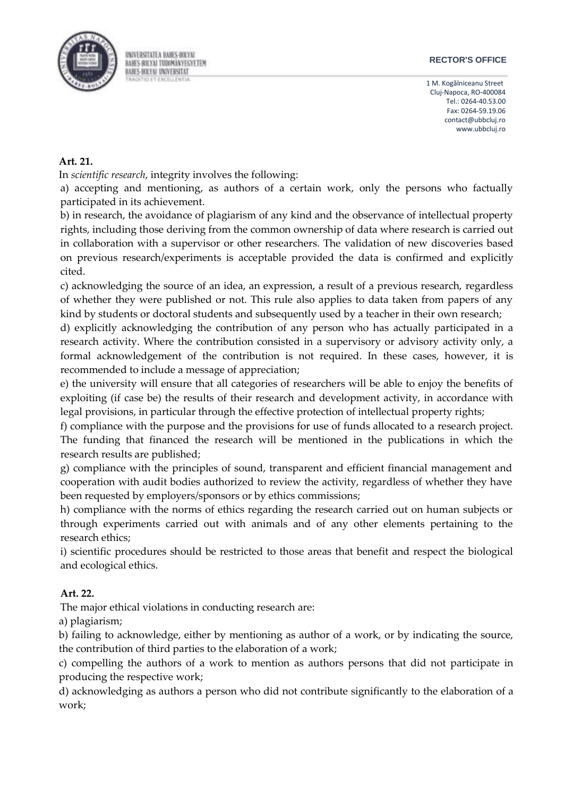

#### **RECTOR'S OFFICE**

1 M. Kogălniceanu Street Cluj-Napoca, RO-400084 Tel.: 0264-40.53.00 Fax: 0264-59.19.06 [contact@ubbcluj.ro](mailto:contact@ubbcluj.ro) [www.ubbcluj.ro](http://www.ubbcluj.ro/)

## **Art. 21.**

In *scientific research*, integrity involves the following:

a) accepting and mentioning, as authors of a certain work, only the persons who factually participated in its achievement.

b) in research, the avoidance of plagiarism of any kind and the observance of intellectual property rights, including those deriving from the common ownership of data where research is carried out in collaboration with a supervisor or other researchers. The validation of new discoveries based on previous research/experiments is acceptable provided the data is confirmed and explicitly cited.

c) acknowledging the source of an idea, an expression, a result of a previous research, regardless of whether they were published or not. This rule also applies to data taken from papers of any kind by students or doctoral students and subsequently used by a teacher in their own research;

d) explicitly acknowledging the contribution of any person who has actually participated in a research activity. Where the contribution consisted in a supervisory or advisory activity only, a formal acknowledgement of the contribution is not required. In these cases, however, it is recommended to include a message of appreciation;

e) the university will ensure that all categories of researchers will be able to enjoy the benefits of exploiting (if case be) the results of their research and development activity, in accordance with legal provisions, in particular through the effective protection of intellectual property rights;

f) compliance with the purpose and the provisions for use of funds allocated to a research project. The funding that financed the research will be mentioned in the publications in which the research results are published;

g) compliance with the principles of sound, transparent and efficient financial management and cooperation with audit bodies authorized to review the activity, regardless of whether they have been requested by employers/sponsors or by ethics commissions;

h) compliance with the norms of ethics regarding the research carried out on human subjects or through experiments carried out with animals and of any other elements pertaining to the research ethics;

i) scientific procedures should be restricted to those areas that benefit and respect the biological and ecological ethics.

## **Art. 22.**

The major ethical violations in conducting research are:

a) plagiarism;

b) failing to acknowledge, either by mentioning as author of a work, or by indicating the source, the contribution of third parties to the elaboration of a work;

c) compelling the authors of a work to mention as authors persons that did not participate in producing the respective work;

d) acknowledging as authors a person who did not contribute significantly to the elaboration of a work;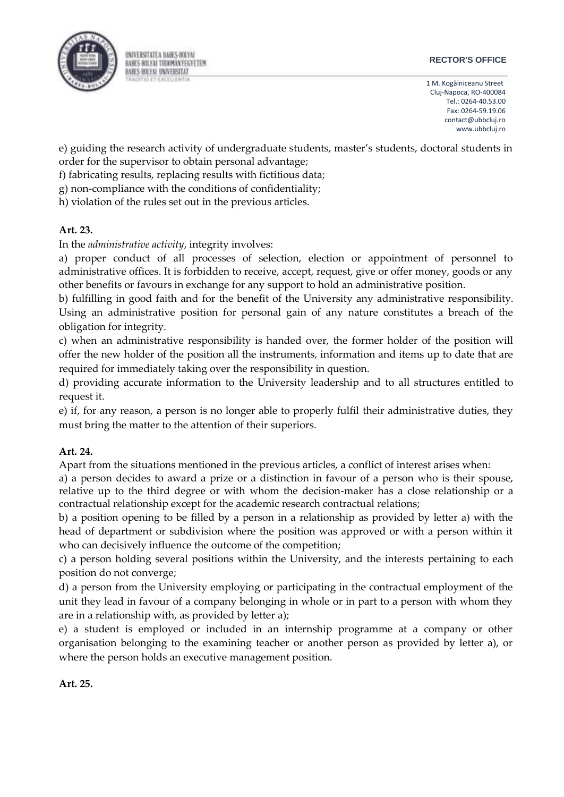

#### **RECTOR'S OFFICE**

1 M. Kogălniceanu Street Cluj-Napoca, RO-400084 Tel.: 0264-40.53.00 Fax: 0264-59.19.06 [contact@ubbcluj.ro](mailto:contact@ubbcluj.ro) [www.ubbcluj.ro](http://www.ubbcluj.ro/)

e) guiding the research activity of undergraduate students, master's students, doctoral students in order for the supervisor to obtain personal advantage;

f) fabricating results, replacing results with fictitious data;

g) non-compliance with the conditions of confidentiality;

h) violation of the rules set out in the previous articles.

# **Art. 23.**

In the *administrative activity*, integrity involves:

a) proper conduct of all processes of selection, election or appointment of personnel to administrative offices. It is forbidden to receive, accept, request, give or offer money, goods or any other benefits or favours in exchange for any support to hold an administrative position.

b) fulfilling in good faith and for the benefit of the University any administrative responsibility. Using an administrative position for personal gain of any nature constitutes a breach of the obligation for integrity.

c) when an administrative responsibility is handed over, the former holder of the position will offer the new holder of the position all the instruments, information and items up to date that are required for immediately taking over the responsibility in question.

d) providing accurate information to the University leadership and to all structures entitled to request it.

e) if, for any reason, a person is no longer able to properly fulfil their administrative duties, they must bring the matter to the attention of their superiors.

## **Art. 24.**

Apart from the situations mentioned in the previous articles, a conflict of interest arises when:

a) a person decides to award a prize or a distinction in favour of a person who is their spouse, relative up to the third degree or with whom the decision-maker has a close relationship or a contractual relationship except for the academic research contractual relations;

b) a position opening to be filled by a person in a relationship as provided by letter a) with the head of department or subdivision where the position was approved or with a person within it who can decisively influence the outcome of the competition;

c) a person holding several positions within the University, and the interests pertaining to each position do not converge;

d) a person from the University employing or participating in the contractual employment of the unit they lead in favour of a company belonging in whole or in part to a person with whom they are in a relationship with, as provided by letter a);

e) a student is employed or included in an internship programme at a company or other organisation belonging to the examining teacher or another person as provided by letter a), or where the person holds an executive management position.

## **Art. 25.**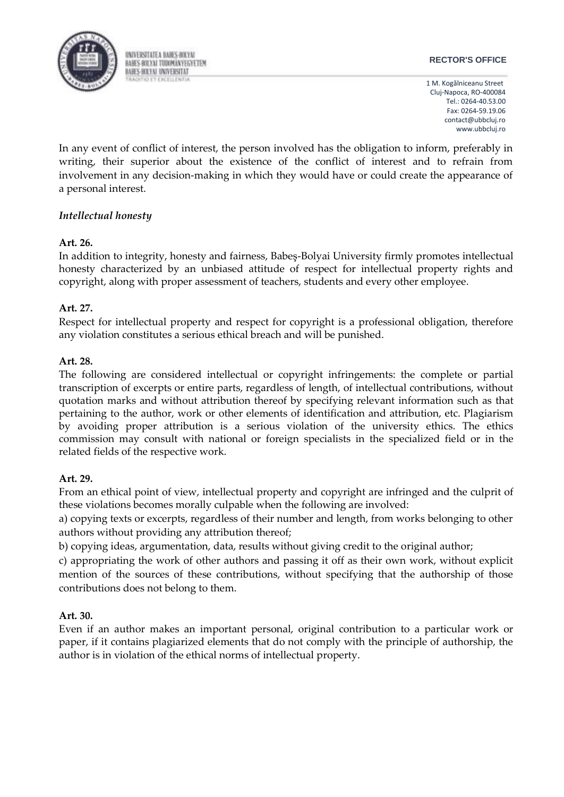

#### **RECTOR'S OFFICE**

1 M. Kogălniceanu Street Cluj-Napoca, RO-400084 Tel.: 0264-40.53.00 Fax: 0264-59.19.06 [contact@ubbcluj.ro](mailto:contact@ubbcluj.ro) [www.ubbcluj.ro](http://www.ubbcluj.ro/)

In any event of conflict of interest, the person involved has the obligation to inform, preferably in writing, their superior about the existence of the conflict of interest and to refrain from involvement in any decision-making in which they would have or could create the appearance of a personal interest.

# *Intellectual honesty*

## **Art. 26.**

In addition to integrity, honesty and fairness, Babeş-Bolyai University firmly promotes intellectual honesty characterized by an unbiased attitude of respect for intellectual property rights and copyright, along with proper assessment of teachers, students and every other employee.

## **Art. 27.**

Respect for intellectual property and respect for copyright is a professional obligation, therefore any violation constitutes a serious ethical breach and will be punished.

## **Art. 28.**

The following are considered intellectual or copyright infringements: the complete or partial transcription of excerpts or entire parts, regardless of length, of intellectual contributions, without quotation marks and without attribution thereof by specifying relevant information such as that pertaining to the author, work or other elements of identification and attribution, etc. Plagiarism by avoiding proper attribution is a serious violation of the university ethics. The ethics commission may consult with national or foreign specialists in the specialized field or in the related fields of the respective work.

## **Art. 29.**

From an ethical point of view, intellectual property and copyright are infringed and the culprit of these violations becomes morally culpable when the following are involved:

a) copying texts or excerpts, regardless of their number and length, from works belonging to other authors without providing any attribution thereof;

b) copying ideas, argumentation, data, results without giving credit to the original author;

c) appropriating the work of other authors and passing it off as their own work, without explicit mention of the sources of these contributions, without specifying that the authorship of those contributions does not belong to them.

## **Art. 30.**

Even if an author makes an important personal, original contribution to a particular work or paper, if it contains plagiarized elements that do not comply with the principle of authorship, the author is in violation of the ethical norms of intellectual property.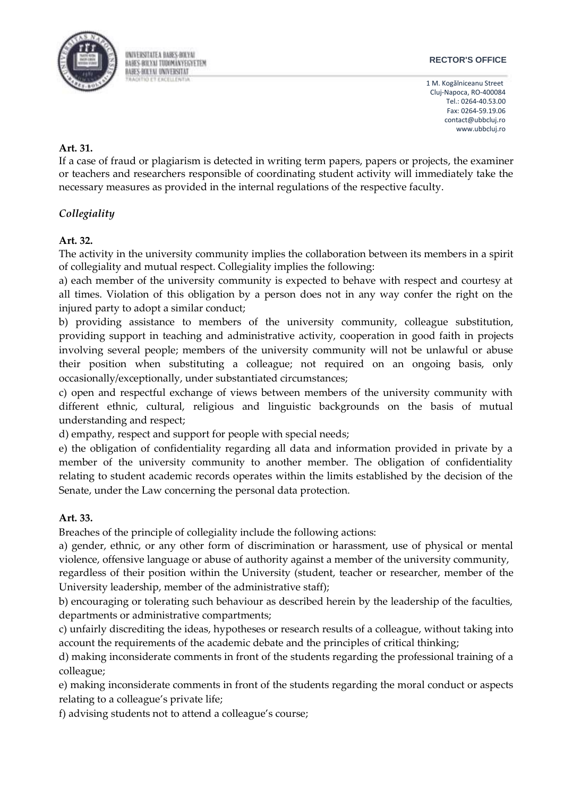

#### **RECTOR'S OFFICE**

1 M. Kogălniceanu Street Cluj-Napoca, RO-400084 Tel.: 0264-40.53.00 Fax: 0264-59.19.06 [contact@ubbcluj.ro](mailto:contact@ubbcluj.ro) [www.ubbcluj.ro](http://www.ubbcluj.ro/)

## **Art. 31.**

If a case of fraud or plagiarism is detected in writing term papers, papers or projects, the examiner or teachers and researchers responsible of coordinating student activity will immediately take the necessary measures as provided in the internal regulations of the respective faculty.

# *Collegiality*

## **Art. 32.**

The activity in the university community implies the collaboration between its members in a spirit of collegiality and mutual respect. Collegiality implies the following:

a) each member of the university community is expected to behave with respect and courtesy at all times. Violation of this obligation by a person does not in any way confer the right on the injured party to adopt a similar conduct;

b) providing assistance to members of the university community, colleague substitution, providing support in teaching and administrative activity, cooperation in good faith in projects involving several people; members of the university community will not be unlawful or abuse their position when substituting a colleague; not required on an ongoing basis, only occasionally/exceptionally, under substantiated circumstances;

c) open and respectful exchange of views between members of the university community with different ethnic, cultural, religious and linguistic backgrounds on the basis of mutual understanding and respect;

d) empathy, respect and support for people with special needs;

e) the obligation of confidentiality regarding all data and information provided in private by a member of the university community to another member. The obligation of confidentiality relating to student academic records operates within the limits established by the decision of the Senate, under the Law concerning the personal data protection.

## **Art. 33.**

Breaches of the principle of collegiality include the following actions:

a) gender, ethnic, or any other form of discrimination or harassment, use of physical or mental violence, offensive language or abuse of authority against a member of the university community,

regardless of their position within the University (student, teacher or researcher, member of the University leadership, member of the administrative staff);

b) encouraging or tolerating such behaviour as described herein by the leadership of the faculties, departments or administrative compartments;

c) unfairly discrediting the ideas, hypotheses or research results of a colleague, without taking into account the requirements of the academic debate and the principles of critical thinking;

d) making inconsiderate comments in front of the students regarding the professional training of a colleague;

e) making inconsiderate comments in front of the students regarding the moral conduct or aspects relating to a colleague's private life;

f) advising students not to attend a colleague's course;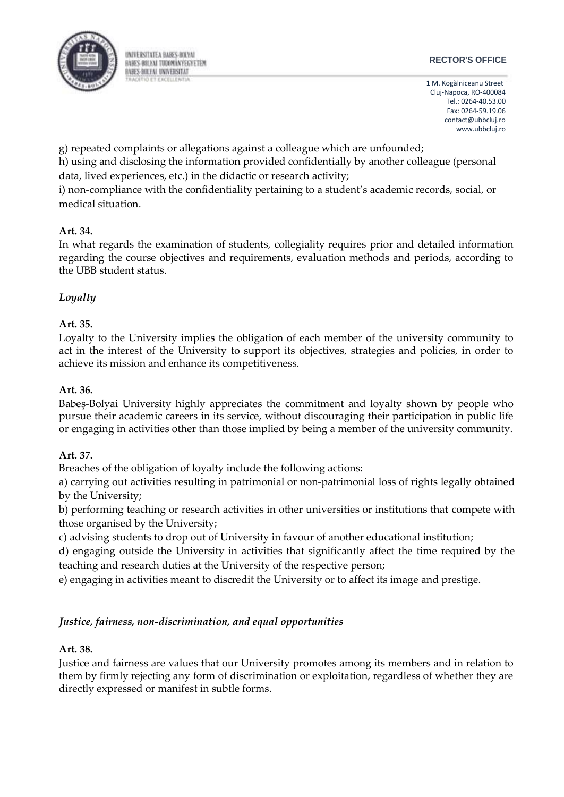

#### **RECTOR'S OFFICE**

1 M. Kogălniceanu Street Cluj-Napoca, RO-400084 Tel.: 0264-40.53.00 Fax: 0264-59.19.06 [contact@ubbcluj.ro](mailto:contact@ubbcluj.ro) [www.ubbcluj.ro](http://www.ubbcluj.ro/)

g) repeated complaints or allegations against a colleague which are unfounded;

h) using and disclosing the information provided confidentially by another colleague (personal data, lived experiences, etc.) in the didactic or research activity;

i) non-compliance with the confidentiality pertaining to a student's academic records, social, or medical situation.

# **Art. 34.**

In what regards the examination of students, collegiality requires prior and detailed information regarding the course objectives and requirements, evaluation methods and periods, according to the UBB student status.

# *Loyalty*

# **Art. 35.**

Loyalty to the University implies the obligation of each member of the university community to act in the interest of the University to support its objectives, strategies and policies, in order to achieve its mission and enhance its competitiveness.

# **Art. 36.**

Babeş-Bolyai University highly appreciates the commitment and loyalty shown by people who pursue their academic careers in its service, without discouraging their participation in public life or engaging in activities other than those implied by being a member of the university community.

# **Art. 37.**

Breaches of the obligation of loyalty include the following actions:

a) carrying out activities resulting in patrimonial or non-patrimonial loss of rights legally obtained by the University;

b) performing teaching or research activities in other universities or institutions that compete with those organised by the University;

c) advising students to drop out of University in favour of another educational institution;

d) engaging outside the University in activities that significantly affect the time required by the teaching and research duties at the University of the respective person;

e) engaging in activities meant to discredit the University or to affect its image and prestige.

# *Justice, fairness, non-discrimination, and equal opportunities*

# **Art. 38.**

Justice and fairness are values that our University promotes among its members and in relation to them by firmly rejecting any form of discrimination or exploitation, regardless of whether they are directly expressed or manifest in subtle forms.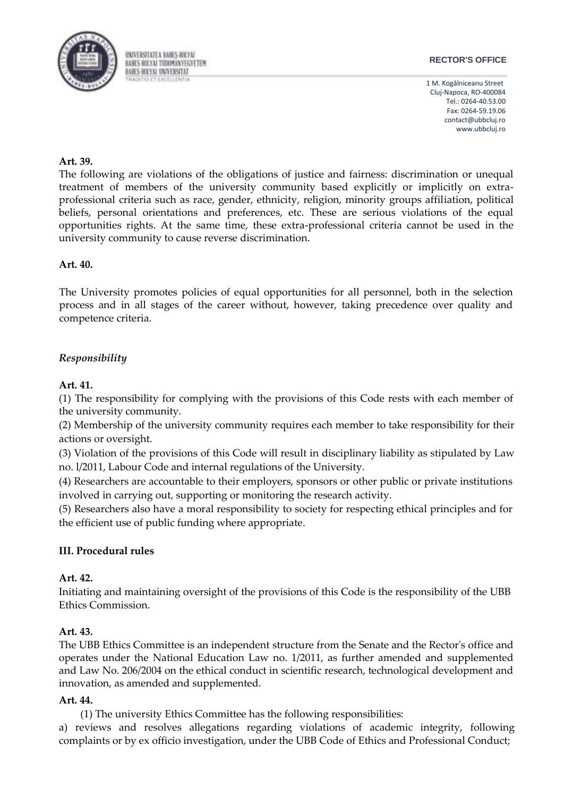

#### **RECTOR'S OFFICE**

1 M. Kogălniceanu Street Cluj-Napoca, RO-400084 Tel.: 0264-40.53.00 Fax: 0264-59.19.06 [contact@ubbcluj.ro](mailto:contact@ubbcluj.ro) [www.ubbcluj.ro](http://www.ubbcluj.ro/)

#### **Art. 39.**

The following are violations of the obligations of justice and fairness: discrimination or unequal treatment of members of the university community based explicitly or implicitly on extraprofessional criteria such as race, gender, ethnicity, religion, minority groups affiliation, political beliefs, personal orientations and preferences, etc. These are serious violations of the equal opportunities rights. At the same time, these extra-professional criteria cannot be used in the university community to cause reverse discrimination.

#### **Art. 40.**

The University promotes policies of equal opportunities for all personnel, both in the selection process and in all stages of the career without, however, taking precedence over quality and competence criteria.

# *Responsibility*

#### **Art. 41.**

(1) The responsibility for complying with the provisions of this Code rests with each member of the university community.

(2) Membership of the university community requires each member to take responsibility for their actions or oversight.

(3) Violation of the provisions of this Code will result in disciplinary liability as stipulated by Law no. l/2011, Labour Code and internal regulations of the University.

(4) Researchers are accountable to their employers, sponsors or other public or private institutions involved in carrying out, supporting or monitoring the research activity.

(5) Researchers also have a moral responsibility to society for respecting ethical principles and for the efficient use of public funding where appropriate.

## **III. Procedural rules**

## **Art. 42.**

Initiating and maintaining oversight of the provisions of this Code is the responsibility of the UBB Ethics Commission.

## **Art. 43.**

The UBB Ethics Committee is an independent structure from the Senate and the Rector's office and operates under the National Education Law no. 1/2011, as further amended and supplemented and Law No. 206/2004 on the ethical conduct in scientific research, technological development and innovation, as amended and supplemented.

#### **Art. 44.**

(1) The university Ethics Committee has the following responsibilities:

a) reviews and resolves allegations regarding violations of academic integrity, following complaints or by ex officio investigation, under the UBB Code of Ethics and Professional Conduct;